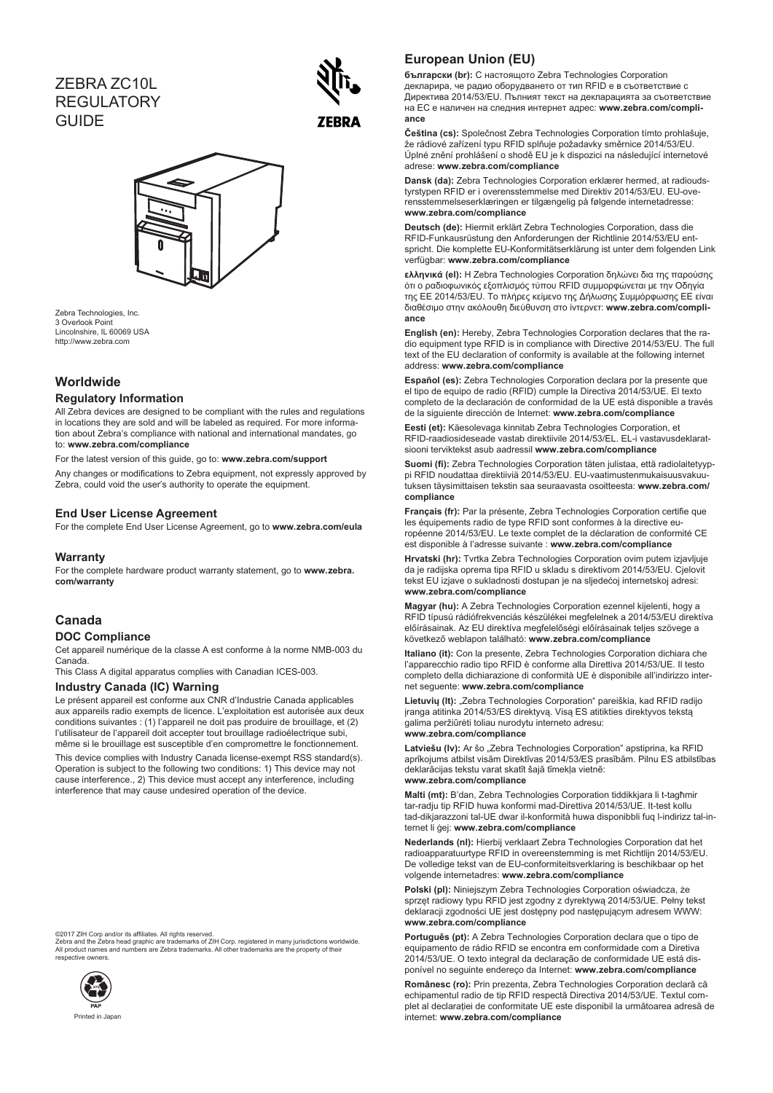# ZEBRA ZC10L REGULATORY **GUIDE**





Zebra Technologies, Inc. 3 Overlook Point Lincolnshire, IL 60069 USA http://www.zebra.com

## **Worldwide**

### **Regulatory Information**

All Zebra devices are designed to be compliant with the rules and regulations in locations they are sold and will be labeled as required. For more information about Zebra's compliance with national and international mandates, go to: **www.zebra.com/compliance**

For the latest version of this guide, go to: **www.zebra.com/support**

Any changes or modifications to Zebra equipment, not expressly approved by Zebra, could void the user's authority to operate the equipment.

### **End User License Agreement**

For the complete End User License Agreement, go to **www.zebra.com/eula**

### **Warranty**

For the complete hardware product warranty statement, go to **www.zebra. com/warranty**

### **Canada**

### **DOC Compliance**

Cet appareil numérique de la classe A est conforme à la norme NMB-003 du Canada.

This Class A digital apparatus complies with Canadian ICES-003.

### **Industry Canada (IC) Warning**

Le présent appareil est conforme aux CNR d'Industrie Canada applicables aux appareils radio exempts de licence. L'exploitation est autorisée aux deux conditions suivantes : (1) l'appareil ne doit pas produire de brouillage, et (2) l'utilisateur de l'appareil doit accepter tout brouillage radioélectrique subi, même si le brouillage est susceptible d'en compromettre le fonctionnement.

This device complies with Industry Canada license-exempt RSS standard(s). Operation is subject to the following two conditions: 1) This device may not cause interference., 2) This device must accept any interference, including interference that may cause undesired operation of the device.

#### ©2017 ZIH Corp and/or its affiliates. All rights reserved.

Zebra and the Zebra head graphic are trademarks of ZIH Corp. registered in many jurisdictions worldwide. All product names and numbers are Zebra trademarks. All other trademarks are the property of their roddol namod<br>Active owners



### **European Union (EU)**

**български (br):** С настоящото Zebra Technologies Corporation декларира, че радио оборудването от тип RFID е в съответствие с Директива 2014/53/EU. Пълният текст на декларацията за съответствие на ЕС е наличен на следния интернет адрес: **www.zebra.com/compliance**

**Čeština (cs):** Společnost Zebra Technologies Corporation tímto prohlašuje, že rádiové zařízení typu RFID splňuje požadavky směrnice 2014/53/EU. Úplné znění prohlášení o shodě EU je k dispozici na následující internetové adrese: **www.zebra.com/compliance**

**Dansk (da):** Zebra Technologies Corporation erklærer hermed, at radioudstyrstypen RFID er i overensstemmelse med Direktiv 2014/53/EU. EU-overensstemmelseserklæringen er tilgængelig på følgende internetadresse: **www.zebra.com/compliance**

**Deutsch (de):** Hiermit erklärt Zebra Technologies Corporation, dass die RFID-Funkausrüstung den Anforderungen der Richtlinie 2014/53/EU entspricht. Die komplette EU-Konformitätserklärung ist unter dem folgenden Link verfügbar: **www.zebra.com/compliance**

**ελληνικά (el):** Η Zebra Technologies Corporation δηλώνει δια της παρούσης ότι ο ραδιοφωνικός εξοπλισμός τύπου RFID συμμορφώνεται με την Οδηγία της ΕΕ 2014/53/EU. Το πλήρες κείμενο της Δήλωσης Συμμόρφωσης ΕΕ είναι διαθέσιμο στην ακόλουθη διεύθυνση στο ίντερνετ: **www.zebra.com/compliance**

**English (en):** Hereby, Zebra Technologies Corporation declares that the radio equipment type RFID is in compliance with Directive 2014/53/EU. The full text of the EU declaration of conformity is available at the following internet address: **www.zebra.com/compliance**

**Español (es):** Zebra Technologies Corporation declara por la presente que el tipo de equipo de radio (RFID) cumple la Directiva 2014/53/UE. El texto completo de la declaración de conformidad de la UE está disponible a través de la siguiente dirección de Internet: **www.zebra.com/compliance**

**Eesti (et):** Käesolevaga kinnitab Zebra Technologies Corporation, et RFID-raadiosideseade vastab direktiivile 2014/53/EL. EL-i vastavusdeklaratsiooni terviktekst asub aadressil **www.zebra.com/compliance**

**Suomi (fi):** Zebra Technologies Corporation täten julistaa, että radiolaitetyyppi RFID noudattaa direktiiviä 2014/53/EU. EU-vaatimustenmukaisuusvakuutuksen täysimittaisen tekstin saa seuraavasta osoitteesta: **www.zebra.com/ compliance**

**Français (fr):** Par la présente, Zebra Technologies Corporation certifie que les équipements radio de type RFID sont conformes à la directive européenne 2014/53/EU. Le texte complet de la déclaration de conformité CE est disponible à l'adresse suivante : **www.zebra.com/compliance**

**Hrvatski (hr):** Tvrtka Zebra Technologies Corporation ovim putem izjavljuje da je radijska oprema tipa RFID u skladu s direktivom 2014/53/EU. Cjelovit tekst EU izjave o sukladnosti dostupan je na sljedećoj internetskoj adresi: **www.zebra.com/compliance**

**Magyar (hu):** A Zebra Technologies Corporation ezennel kijelenti, hogy a RFID típusú rádiófrekvenciás készülékei megfelelnek a 2014/53/EU direktíva előírásainak. Az EU direktíva megfelelőségi előírásainak teljes szövege a következő weblapon található: **www.zebra.com/compliance**

**Italiano (it):** Con la presente, Zebra Technologies Corporation dichiara che l'apparecchio radio tipo RFID è conforme alla Direttiva 2014/53/UE. Il testo completo della dichiarazione di conformità UE è disponibile all'indirizzo internet seguente: **www.zebra.com/compliance**

**Lietuvių (lt):** "Zebra Technologies Corporation" pareiškia, kad RFID radijo įranga atitinka 2014/53/ES direktyvą. Visą ES atitikties direktyvos tekstą galima peržiūrėti toliau nurodytu interneto adresu: **www.zebra.com/compliance**

Latviešu (Iv): Ar šo "Zebra Technologies Corporation" apstiprina, ka RFID aprīkojums atbilst visām Direktīvas 2014/53/ES prasībām. Pilnu ES atbilstības deklarācijas tekstu varat skatīt šajā tīmekļa vietnē:

#### **www.zebra.com/compliance**

**Malti (mt):** B'dan, Zebra Technologies Corporation tiddikkjara li t-tagħmir tar-radju tip RFID huwa konformi mad-Direttiva 2014/53/UE. It-test kollu tad-dikjarazzoni tal-UE dwar il-konformità huwa disponibbli fuq l-indirizz tal-internet li ġej: **www.zebra.com/compliance**

**Nederlands (nl):** Hierbij verklaart Zebra Technologies Corporation dat het radioapparatuurtype RFID in overeenstemming is met Richtlijn 2014/53/EU. De volledige tekst van de EU-conformiteitsverklaring is beschikbaar op het volgende internetadres: **www.zebra.com/compliance**

**Polski (pl):** Niniejszym Zebra Technologies Corporation oświadcza, że sprzęt radiowy typu RFID jest zgodny z dyrektywą 2014/53/UE. Pełny tekst deklaracji zgodności UE jest dostępny pod następującym adresem WWW: **www.zebra.com/compliance**

**Português (pt):** A Zebra Technologies Corporation declara que o tipo de equipamento de rádio RFID se encontra em conformidade com a Diretiva 2014/53/UE. O texto integral da declaração de conformidade UE está disponível no seguinte endereço da Internet: **www.zebra.com/compliance**

**Românesc (ro):** Prin prezenta, Zebra Technologies Corporation declară că echipamentul radio de tip RFID respectă Directiva 2014/53/UE. Textul complet al declaraţiei de conformitate UE este disponibil la următoarea adresă de internet: **www.zebra.com/compliance**